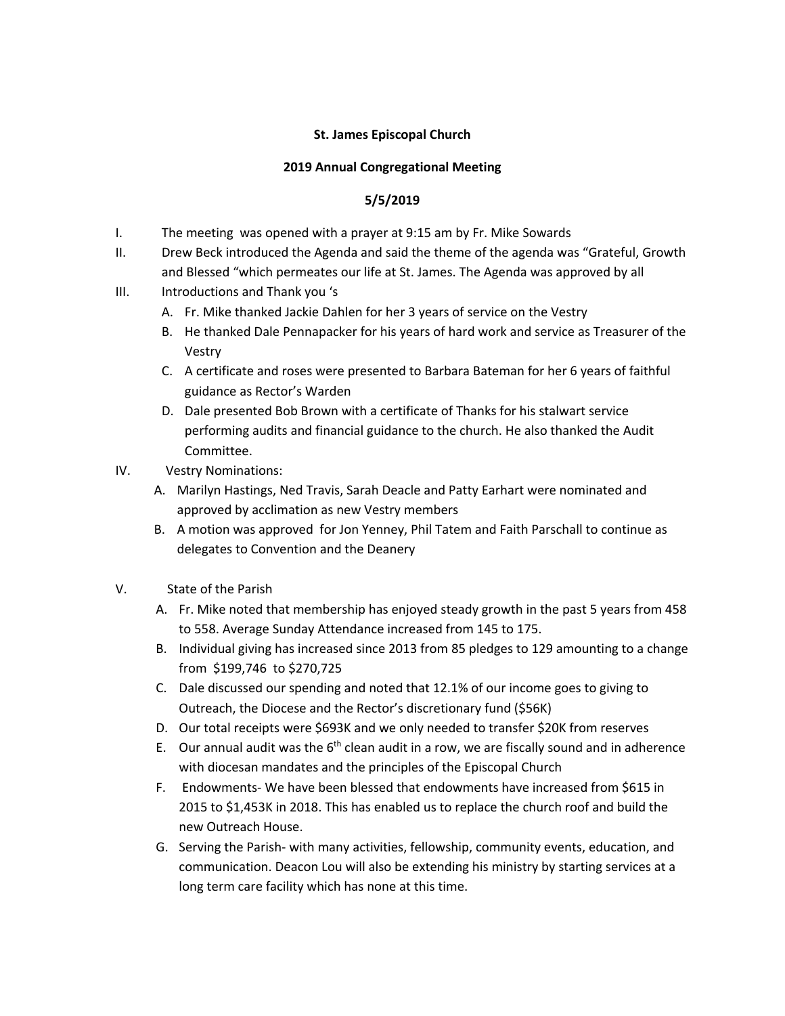## **St. James Episcopal Church**

## **2019 Annual Congregational Meeting**

## **5/5/2019**

- I. The meeting was opened with a prayer at 9:15 am by Fr. Mike Sowards
- II. Drew Beck introduced the Agenda and said the theme of the agenda was "Grateful, Growth and Blessed "which permeates our life at St. James. The Agenda was approved by all
- III. Introductions and Thank you 's
	- A. Fr. Mike thanked Jackie Dahlen for her 3 years of service on the Vestry
	- B. He thanked Dale Pennapacker for his years of hard work and service as Treasurer of the Vestry
	- C. A certificate and roses were presented to Barbara Bateman for her 6 years of faithful guidance as Rector's Warden
	- D. Dale presented Bob Brown with a certificate of Thanks for his stalwart service performing audits and financial guidance to the church. He also thanked the Audit Committee.
- IV. Vestry Nominations:
	- A. Marilyn Hastings, Ned Travis, Sarah Deacle and Patty Earhart were nominated and approved by acclimation as new Vestry members
	- B. A motion was approved for Jon Yenney, Phil Tatem and Faith Parschall to continue as delegates to Convention and the Deanery
- V. State of the Parish
	- A. Fr. Mike noted that membership has enjoyed steady growth in the past 5 years from 458 to 558. Average Sunday Attendance increased from 145 to 175.
	- B. Individual giving has increased since 2013 from 85 pledges to 129 amounting to a change from \$199,746 to \$270,725
	- C. Dale discussed our spending and noted that 12.1% of our income goes to giving to Outreach, the Diocese and the Rector's discretionary fund (\$56K)
	- D. Our total receipts were \$693K and we only needed to transfer \$20K from reserves
	- E. Our annual audit was the  $6<sup>th</sup>$  clean audit in a row, we are fiscally sound and in adherence with diocesan mandates and the principles of the Episcopal Church
	- F. Endowments- We have been blessed that endowments have increased from \$615 in 2015 to \$1,453K in 2018. This has enabled us to replace the church roof and build the new Outreach House.
	- G. Serving the Parish- with many activities, fellowship, community events, education, and communication. Deacon Lou will also be extending his ministry by starting services at a long term care facility which has none at this time.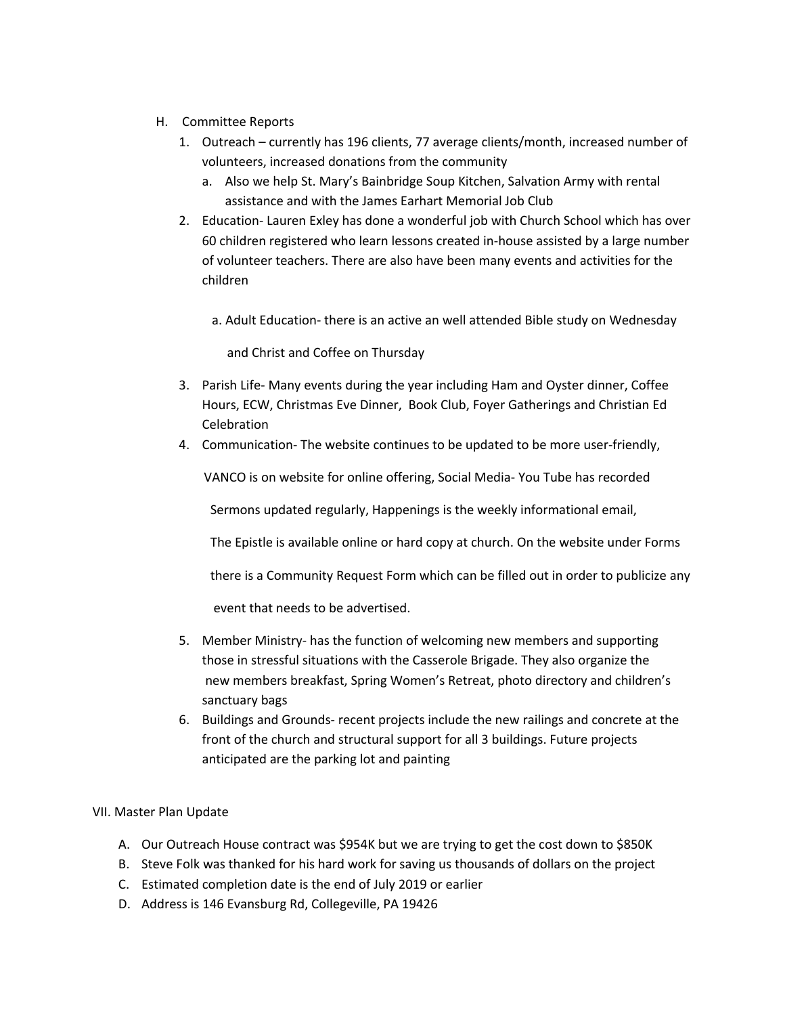- H. Committee Reports
	- 1. Outreach currently has 196 clients, 77 average clients/month, increased number of volunteers, increased donations from the community
		- a. Also we help St. Mary's Bainbridge Soup Kitchen, Salvation Army with rental assistance and with the James Earhart Memorial Job Club
	- 2. Education- Lauren Exley has done a wonderful job with Church School which has over 60 children registered who learn lessons created in-house assisted by a large number of volunteer teachers. There are also have been many events and activities for the children
		- a. Adult Education- there is an active an well attended Bible study on Wednesday

and Christ and Coffee on Thursday

- 3. Parish Life- Many events during the year including Ham and Oyster dinner, Coffee Hours, ECW, Christmas Eve Dinner, Book Club, Foyer Gatherings and Christian Ed Celebration
- 4. Communication- The website continues to be updated to be more user-friendly,

VANCO is on website for online offering, Social Media- You Tube has recorded

Sermons updated regularly, Happenings is the weekly informational email,

The Epistle is available online or hard copy at church. On the website under Forms

there is a Community Request Form which can be filled out in order to publicize any

event that needs to be advertised.

- 5. Member Ministry- has the function of welcoming new members and supporting those in stressful situations with the Casserole Brigade. They also organize the new members breakfast, Spring Women's Retreat, photo directory and children's sanctuary bags
- 6. Buildings and Grounds- recent projects include the new railings and concrete at the front of the church and structural support for all 3 buildings. Future projects anticipated are the parking lot and painting

## VII. Master Plan Update

- A. Our Outreach House contract was \$954K but we are trying to get the cost down to \$850K
- B. Steve Folk was thanked for his hard work for saving us thousands of dollars on the project
- C. Estimated completion date is the end of July 2019 or earlier
- D. Address is 146 Evansburg Rd, Collegeville, PA 19426